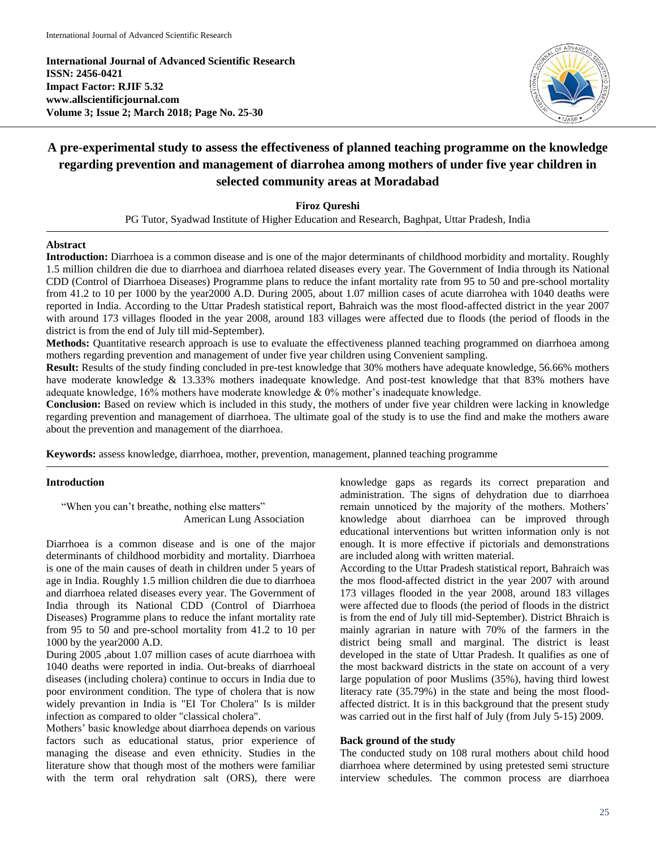**International Journal of Advanced Scientific Research ISSN: 2456-0421 Impact Factor: RJIF 5.32 www.allscientificjournal.com Volume 3; Issue 2; March 2018; Page No. 25-30**



# **A pre-experimental study to assess the effectiveness of planned teaching programme on the knowledge regarding prevention and management of diarrohea among mothers of under five year children in selected community areas at Moradabad**

**Firoz Qureshi**

PG Tutor, Syadwad Institute of Higher Education and Research, Baghpat, Uttar Pradesh, India

#### **Abstract**

**Introduction:** Diarrhoea is a common disease and is one of the major determinants of childhood morbidity and mortality. Roughly 1.5 million children die due to diarrhoea and diarrhoea related diseases every year. The Government of India through its National CDD (Control of Diarrhoea Diseases) Programme plans to reduce the infant mortality rate from 95 to 50 and pre-school mortality from 41.2 to 10 per 1000 by the year2000 A.D. During 2005, about 1.07 million cases of acute diarrohea with 1040 deaths were reported in India. According to the Uttar Pradesh statistical report, Bahraich was the most flood-affected district in the year 2007 with around 173 villages flooded in the year 2008, around 183 villages were affected due to floods (the period of floods in the district is from the end of July till mid-September).

**Methods:** Quantitative research approach is use to evaluate the effectiveness planned teaching programmed on diarrhoea among mothers regarding prevention and management of under five year children using Convenient sampling.

**Result:** Results of the study finding concluded in pre-test knowledge that 30% mothers have adequate knowledge, 56.66% mothers have moderate knowledge & 13.33% mothers inadequate knowledge. And post-test knowledge that that 83% mothers have adequate knowledge, 16% mothers have moderate knowledge & 0% mother's inadequate knowledge.

**Conclusion:** Based on review which is included in this study, the mothers of under five year children were lacking in knowledge regarding prevention and management of diarrhoea. The ultimate goal of the study is to use the find and make the mothers aware about the prevention and management of the diarrhoea.

**Keywords:** assess knowledge, diarrhoea, mother, prevention, management, planned teaching programme

## **Introduction**

"When you can't breathe, nothing else matters" American Lung Association

Diarrhoea is a common disease and is one of the major determinants of childhood morbidity and mortality. Diarrhoea is one of the main causes of death in children under 5 years of age in India. Roughly 1.5 million children die due to diarrhoea and diarrhoea related diseases every year. The Government of India through its National CDD (Control of Diarrhoea Diseases) Programme plans to reduce the infant mortality rate from 95 to 50 and pre-school mortality from 41.2 to 10 per 1000 by the year2000 A.D.

During 2005 ,about 1.07 million cases of acute diarrhoea with 1040 deaths were reported in india. Out-breaks of diarrhoeal diseases (including cholera) continue to occurs in India due to poor environment condition. The type of cholera that is now widely prevantion in India is "EI Tor Cholera" Is is milder infection as compared to older "classical cholera".

Mothers' basic knowledge about diarrhoea depends on various factors such as educational status, prior experience of managing the disease and even ethnicity. Studies in the literature show that though most of the mothers were familiar with the term oral rehydration salt (ORS), there were knowledge gaps as regards its correct preparation and administration. The signs of dehydration due to diarrhoea remain unnoticed by the majority of the mothers. Mothers' knowledge about diarrhoea can be improved through educational interventions but written information only is not enough. It is more effective if pictorials and demonstrations are included along with written material.

According to the Uttar Pradesh statistical report, Bahraich was the mos flood-affected district in the year 2007 with around 173 villages flooded in the year 2008, around 183 villages were affected due to floods (the period of floods in the district is from the end of July till mid-September). District Bhraich is mainly agrarian in nature with 70% of the farmers in the district being small and marginal. The district is least developed in the state of Uttar Pradesh. It qualifies as one of the most backward districts in the state on account of a very large population of poor Muslims (35%), having third lowest literacy rate (35.79%) in the state and being the most floodaffected district. It is in this background that the present study was carried out in the first half of July (from July 5-15) 2009.

## **Back ground of the study**

The conducted study on 108 rural mothers about child hood diarrhoea where determined by using pretested semi structure interview schedules. The common process are diarrhoea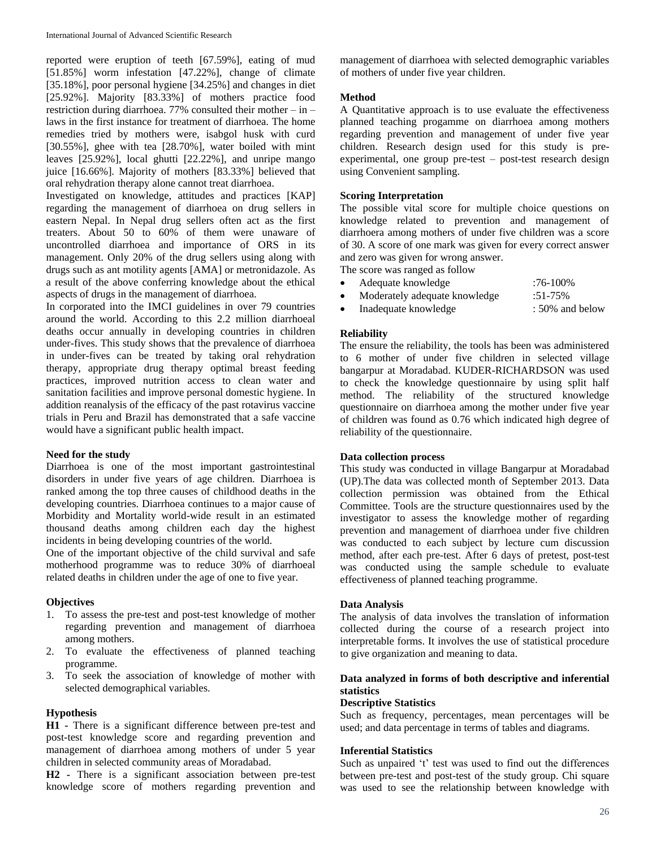reported were eruption of teeth [67.59%], eating of mud [51.85%] worm infestation [47.22%], change of climate [35.18%], poor personal hygiene [34.25%] and changes in diet [25.92%]. Majority [83.33%] of mothers practice food restriction during diarrhoea. 77% consulted their mother – in – laws in the first instance for treatment of diarrhoea. The home remedies tried by mothers were, isabgol husk with curd [30.55%], ghee with tea [28.70%], water boiled with mint leaves [25.92%], local ghutti [22.22%], and unripe mango juice [16.66%]. Majority of mothers [83.33%] believed that oral rehydration therapy alone cannot treat diarrhoea.

Investigated on knowledge, attitudes and practices [KAP] regarding the management of diarrhoea on drug sellers in eastern Nepal. In Nepal drug sellers often act as the first treaters. About 50 to 60% of them were unaware of uncontrolled diarrhoea and importance of ORS in its management. Only 20% of the drug sellers using along with drugs such as ant motility agents [AMA] or metronidazole. As a result of the above conferring knowledge about the ethical aspects of drugs in the management of diarrhoea.

In corporated into the IMCI guidelines in over 79 countries around the world. According to this 2.2 million diarrhoeal deaths occur annually in developing countries in children under-fives. This study shows that the prevalence of diarrhoea in under-fives can be treated by taking oral rehydration therapy, appropriate drug therapy optimal breast feeding practices, improved nutrition access to clean water and sanitation facilities and improve personal domestic hygiene. In addition reanalysis of the efficacy of the past rotavirus vaccine trials in Peru and Brazil has demonstrated that a safe vaccine would have a significant public health impact.

#### **Need for the study**

Diarrhoea is one of the most important gastrointestinal disorders in under five years of age children. Diarrhoea is ranked among the top three causes of childhood deaths in the developing countries. Diarrhoea continues to a major cause of Morbidity and Mortality world-wide result in an estimated thousand deaths among children each day the highest incidents in being developing countries of the world.

One of the important objective of the child survival and safe motherhood programme was to reduce 30% of diarrhoeal related deaths in children under the age of one to five year.

#### **Objectives**

- 1. To assess the pre-test and post-test knowledge of mother regarding prevention and management of diarrhoea among mothers.
- 2. To evaluate the effectiveness of planned teaching programme.
- 3. To seek the association of knowledge of mother with selected demographical variables.

# **Hypothesis**

**H1 -** There is a significant difference between pre-test and post-test knowledge score and regarding prevention and management of diarrhoea among mothers of under 5 year children in selected community areas of Moradabad.

**H2 -** There is a significant association between pre-test knowledge score of mothers regarding prevention and

management of diarrhoea with selected demographic variables of mothers of under five year children.

# **Method**

A Quantitative approach is to use evaluate the effectiveness planned teaching progamme on diarrhoea among mothers regarding prevention and management of under five year children. Research design used for this study is preexperimental, one group pre-test – post-test research design using Convenient sampling.

# **Scoring Interpretation**

The possible vital score for multiple choice questions on knowledge related to prevention and management of diarrhoera among mothers of under five children was a score of 30. A score of one mark was given for every correct answer and zero was given for wrong answer.

The score was ranged as follow

| $\bullet$ | Adequate knowledge            | $:76-100\%$     |
|-----------|-------------------------------|-----------------|
| $\bullet$ | Moderately adequate knowledge | $:51-75\%$      |
| $\bullet$ | Inadequate knowledge          | : 50% and below |

## **Reliability**

The ensure the reliability, the tools has been was administered to 6 mother of under five children in selected village bangarpur at Moradabad. KUDER-RICHARDSON was used to check the knowledge questionnaire by using split half method. The reliability of the structured knowledge questionnaire on diarrhoea among the mother under five year of children was found as 0.76 which indicated high degree of reliability of the questionnaire.

# **Data collection process**

This study was conducted in village Bangarpur at Moradabad (UP).The data was collected month of September 2013. Data collection permission was obtained from the Ethical Committee. Tools are the structure questionnaires used by the investigator to assess the knowledge mother of regarding prevention and management of diarrhoea under five children was conducted to each subject by lecture cum discussion method, after each pre-test. After 6 days of pretest, post-test was conducted using the sample schedule to evaluate effectiveness of planned teaching programme.

#### **Data Analysis**

The analysis of data involves the translation of information collected during the course of a research project into interpretable forms. It involves the use of statistical procedure to give organization and meaning to data.

# **Data analyzed in forms of both descriptive and inferential statistics**

#### **Descriptive Statistics**

Such as frequency, percentages, mean percentages will be used; and data percentage in terms of tables and diagrams.

#### **Inferential Statistics**

Such as unpaired 't' test was used to find out the differences between pre-test and post-test of the study group. Chi square was used to see the relationship between knowledge with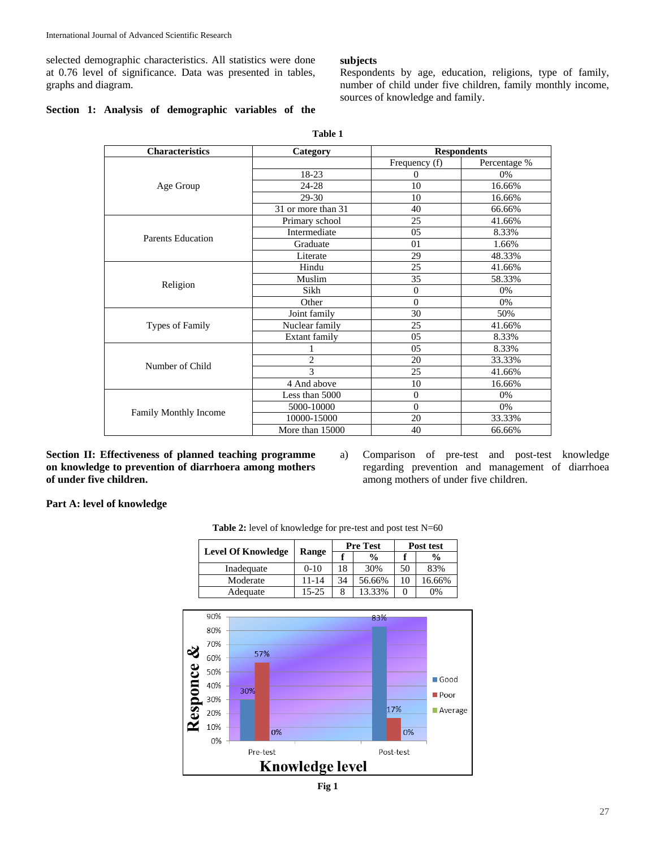selected demographic characteristics. All statistics were done at 0.76 level of significance. Data was presented in tables, graphs and diagram.

## **Section 1: Analysis of demographic variables of the**

## **subjects**

Respondents by age, education, religions, type of family, number of child under five children, family monthly income, sources of knowledge and family.

| <b>Characteristics</b> | Category           | <b>Respondents</b> |              |  |  |
|------------------------|--------------------|--------------------|--------------|--|--|
|                        |                    | Frequency (f)      | Percentage % |  |  |
|                        | 18-23              | $\mathbf{0}$       | 0%           |  |  |
| Age Group              | 24-28              | 10                 | 16.66%       |  |  |
|                        | 29-30              | 10                 | 16.66%       |  |  |
|                        | 31 or more than 31 | 40                 | 66.66%       |  |  |
|                        | Primary school     | 25                 | 41.66%       |  |  |
| Parents Education      | Intermediate       | $0.5^{\circ}$      | 8.33%        |  |  |
|                        | Graduate           | 01                 | 1.66%        |  |  |
|                        | Literate           | 29                 | 48.33%       |  |  |
|                        | Hindu              | 25                 | 41.66%       |  |  |
|                        | Muslim             | 35                 | 58.33%       |  |  |
| Religion               | Sikh               | $\theta$           | 0%           |  |  |
|                        | Other              | $\overline{0}$     | 0%           |  |  |
|                        | Joint family       | 30                 | 50%          |  |  |
| <b>Types of Family</b> | Nuclear family     | 25                 | 41.66%       |  |  |
|                        | Extant family      | 05                 | 8.33%        |  |  |
|                        | 1                  | 05                 | 8.33%        |  |  |
| Number of Child        | $\overline{2}$     | 20                 | 33.33%       |  |  |
|                        | 3                  | 25                 | 41.66%       |  |  |
|                        | 4 And above        | 10                 | 16.66%       |  |  |
|                        | Less than 5000     | $\mathbf{0}$       | 0%           |  |  |
|                        | 5000-10000         | $\Omega$           | 0%           |  |  |
| Family Monthly Income  | 10000-15000        | 20                 | 33.33%       |  |  |
|                        | More than 15000    | 40                 | 66.66%       |  |  |

**Table 1**

**Section II: Effectiveness of planned teaching programme on knowledge to prevention of diarrhoera among mothers of under five children.**

a) Comparison of pre-test and post-test knowledge regarding prevention and management of diarrhoea among mothers of under five children.

**Part A: level of knowledge** 



Table 2: level of knowledge for pre-test and post test N=60

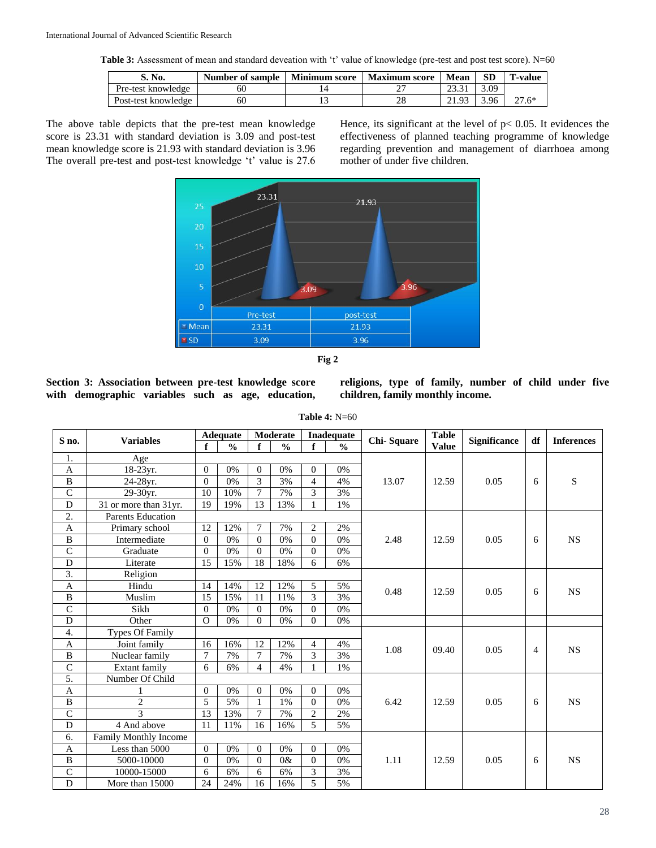**Table 3:** Assessment of mean and standard deveation with 't' value of knowledge (pre-test and post test score). N=60

| S. No.              | Number of sample | <b>Minimum score</b> | <b>Maximum</b> score | Mean | SD           | `-value |
|---------------------|------------------|----------------------|----------------------|------|--------------|---------|
| Pre-test knowledge  | 0U               |                      |                      |      | 3.09         |         |
| Post-test knowledge | 60               |                      | nс                   |      | <i>3.</i> 96 | 27.6*   |

The above table depicts that the pre-test mean knowledge score is 23.31 with standard deviation is 3.09 and post-test mean knowledge score is 21.93 with standard deviation is 3.96 The overall pre-test and post-test knowledge 't' value is 27.6

Hence, its significant at the level of  $p < 0.05$ . It evidences the effectiveness of planned teaching programme of knowledge regarding prevention and management of diarrhoea among mother of under five children.



|--|--|

**Section 3: Association between pre-test knowledge score with demographic variables such as age, education,**  **religions, type of family, number of child under five children, family monthly income.**

| <b>Table 4: N=60</b> |  |
|----------------------|--|
|----------------------|--|

|                           | <b>Variables</b>         | <b>Adequate</b> |               | Moderate       |               | Inadequate     |                          |            | <b>Table</b> |                     | df | <b>Inferences</b> |
|---------------------------|--------------------------|-----------------|---------------|----------------|---------------|----------------|--------------------------|------------|--------------|---------------------|----|-------------------|
| S no.                     |                          | f               | $\frac{0}{0}$ | $\mathbf f$    | $\frac{0}{0}$ | f              | $\overline{\frac{0}{0}}$ | Chi-Square | <b>Value</b> | <b>Significance</b> |    |                   |
| 1.                        | Age                      |                 |               |                |               |                |                          |            |              |                     |    |                   |
| A                         | 18-23yr.                 | $\Omega$        | 0%            | $\mathbf{0}$   | 0%            | $\mathbf{0}$   | 0%                       |            |              |                     |    |                   |
| $\, {\bf B}$              | 24-28yr.                 | $\Omega$        | 0%            | 3              | 3%            | $\overline{4}$ | 4%                       | 13.07      | 12.59        | 0.05                | 6  | S                 |
| $\overline{C}$            | 29-30yr.                 | 10              | 10%           | $\overline{7}$ | 7%            | 3              | 3%                       |            |              |                     |    |                   |
| $\overline{D}$            | 31 or more than 31yr.    | 19              | 19%           | 13             | 13%           |                | 1%                       |            |              |                     |    |                   |
| $\overline{2}$ .          | <b>Parents Education</b> |                 |               |                |               |                |                          |            |              |                     |    |                   |
| $\mathbf{A}$              | Primary school           | 12              | 12%           | $\overline{7}$ | 7%            | $\overline{2}$ | 2%                       |            |              |                     |    |                   |
| B                         | Intermediate             | $\Omega$        | 0%            | $\mathbf{0}$   | 0%            | $\theta$       | 0%                       | 2.48       | 12.59        | 0.05                | 6  | <b>NS</b>         |
| $\overline{C}$            | Graduate                 | $\Omega$        | $0\%$         | $\theta$       | 0%            | $\theta$       | 0%                       |            |              |                     |    |                   |
| D                         | Literate                 | 15              | 15%           | 18             | 18%           | 6              | 6%                       |            |              |                     |    |                   |
| 3.                        | Religion                 |                 |               |                |               |                |                          |            |              |                     |    |                   |
| A                         | Hindu                    | 14              | 14%           | 12             | 12%           | 5              | 5%                       | 0.48       | 12.59        | 0.05                |    | <b>NS</b>         |
| $\, {\bf B}$              | Muslim                   | 15              | 15%           | 11             | 11%           | 3              | 3%                       |            |              |                     | 6  |                   |
| $\overline{C}$            | Sikh                     | $\Omega$        | 0%            | $\mathbf{0}$   | 0%            | $\theta$       | 0%                       |            |              |                     |    |                   |
| $\mathbf D$               | Other                    | $\Omega$        | 0%            | $\overline{0}$ | 0%            | $\Omega$       | 0%                       |            |              |                     |    |                   |
| 4.                        | <b>Types Of Family</b>   |                 |               |                |               |                |                          |            |              |                     |    |                   |
| A                         | Joint family             | 16              | 16%           | 12             | 12%           | 4              | 4%                       | 1.08       | 09.40        | 0.05                | 4  | <b>NS</b>         |
| $\overline{B}$            | Nuclear family           | 7               | 7%            | 7              | 7%            | 3              | 3%                       |            |              |                     |    |                   |
| $\mathsf{C}$              | Extant family            | 6               | 6%            | $\overline{4}$ | 4%            | $\mathbf{1}$   | 1%                       |            |              |                     |    |                   |
| 5.                        | Number Of Child          |                 |               |                |               |                |                          |            |              |                     |    |                   |
| $\boldsymbol{\mathsf{A}}$ |                          | $\Omega$        | 0%            | $\mathbf{0}$   | 0%            | $\Omega$       | 0%                       |            |              |                     |    |                   |
| $\, {\bf B}$              | $\overline{2}$           | 5               | 5%            | $\mathbf{1}$   | 1%            | $\theta$       | 0%                       | 6.42       | 12.59        | 0.05                | 6  | <b>NS</b>         |
| $\overline{C}$            | $\overline{\mathcal{E}}$ | 13              | 13%           | $\overline{7}$ | 7%            | $\overline{2}$ | 2%                       |            |              |                     |    |                   |
| $\overline{D}$            | 4 And above              | 11              | 11%           | 16             | 16%           | 5              | 5%                       |            |              |                     |    |                   |
| 6.                        | Family Monthly Income    |                 |               |                |               |                |                          |            |              |                     |    |                   |
| A                         | Less than 5000           | $\Omega$        | 0%            | $\mathbf{0}$   | 0%            | $\Omega$       | 0%                       |            |              |                     |    |                   |
| $\, {\bf B}$              | 5000-10000               | $\Omega$        | 0%            | $\mathbf{0}$   | 0&            | $\Omega$       | 0%                       | 1.11       | 12.59        | 0.05                | 6  | <b>NS</b>         |
| $\mathsf C$               | 10000-15000              | 6               | 6%            | 6              | 6%            | 3              | 3%                       |            |              |                     |    |                   |
| $\overline{D}$            | More than 15000          | 24              | 24%           | 16             | 16%           | 5              | 5%                       |            |              |                     |    |                   |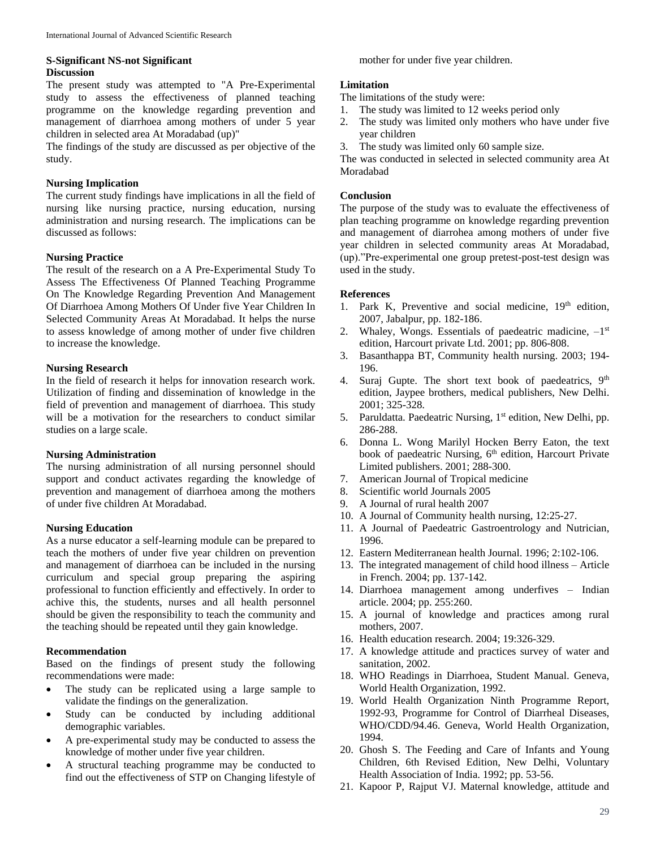## **S-Significant NS-not Significant Discussion**

The present study was attempted to "A Pre-Experimental study to assess the effectiveness of planned teaching programme on the knowledge regarding prevention and management of diarrhoea among mothers of under 5 year children in selected area At Moradabad (up)"

The findings of the study are discussed as per objective of the study.

# **Nursing Implication**

The current study findings have implications in all the field of nursing like nursing practice, nursing education, nursing administration and nursing research. The implications can be discussed as follows:

## **Nursing Practice**

The result of the research on a A Pre-Experimental Study To Assess The Effectiveness Of Planned Teaching Programme On The Knowledge Regarding Prevention And Management Of Diarrhoea Among Mothers Of Under five Year Children In Selected Community Areas At Moradabad. It helps the nurse to assess knowledge of among mother of under five children to increase the knowledge.

## **Nursing Research**

In the field of research it helps for innovation research work. Utilization of finding and dissemination of knowledge in the field of prevention and management of diarrhoea. This study will be a motivation for the researchers to conduct similar studies on a large scale.

# **Nursing Administration**

The nursing administration of all nursing personnel should support and conduct activates regarding the knowledge of prevention and management of diarrhoea among the mothers of under five children At Moradabad.

# **Nursing Education**

As a nurse educator a self-learning module can be prepared to teach the mothers of under five year children on prevention and management of diarrhoea can be included in the nursing curriculum and special group preparing the aspiring professional to function efficiently and effectively. In order to achive this, the students, nurses and all health personnel should be given the responsibility to teach the community and the teaching should be repeated until they gain knowledge.

#### **Recommendation**

Based on the findings of present study the following recommendations were made:

- The study can be replicated using a large sample to validate the findings on the generalization.
- Study can be conducted by including additional demographic variables.
- A pre-experimental study may be conducted to assess the knowledge of mother under five year children.
- A structural teaching programme may be conducted to find out the effectiveness of STP on Changing lifestyle of

mother for under five year children.

# **Limitation**

The limitations of the study were:

- 1. The study was limited to 12 weeks period only
- 2. The study was limited only mothers who have under five year children
- 3. The study was limited only 60 sample size.

The was conducted in selected in selected community area At Moradabad

# **Conclusion**

The purpose of the study was to evaluate the effectiveness of plan teaching programme on knowledge regarding prevention and management of diarrohea among mothers of under five year children in selected community areas At Moradabad, (up)."Pre-experimental one group pretest-post-test design was used in the study.

## **References**

- 1. Park K, Preventive and social medicine, 19<sup>th</sup> edition, 2007, Jabalpur, pp. 182-186.
- 2. Whaley, Wongs. Essentials of paedeatric madicine,  $-1<sup>st</sup>$ edition, Harcourt private Ltd. 2001; pp. 806-808.
- 3. Basanthappa BT, Community health nursing. 2003; 194- 196.
- 4. Suraj Gupte. The short text book of paedeatrics, 9<sup>th</sup> edition, Jaypee brothers, medical publishers, New Delhi. 2001; 325-328.
- 5. Paruldatta. Paedeatric Nursing, 1<sup>st</sup> edition, New Delhi, pp. 286-288.
- 6. Donna L. Wong Marilyl Hocken Berry Eaton, the text book of paedeatric Nursing, 6<sup>th</sup> edition, Harcourt Private Limited publishers. 2001; 288-300.
- 7. American Journal of Tropical medicine
- 8. Scientific world Journals 2005
- 9. A Journal of rural health 2007
- 10. A Journal of Community health nursing, 12:25-27.
- 11. A Journal of Paedeatric Gastroentrology and Nutrician, 1996.
- 12. Eastern Mediterranean health Journal. 1996; 2:102-106.
- 13. The integrated management of child hood illness Article in French. 2004; pp. 137-142.
- 14. Diarrhoea management among underfives Indian article. 2004; pp. 255:260.
- 15. A journal of knowledge and practices among rural mothers, 2007.
- 16. Health education research. 2004; 19:326-329.
- 17. A knowledge attitude and practices survey of water and sanitation, 2002.
- 18. WHO Readings in Diarrhoea, Student Manual. Geneva, World Health Organization, 1992.
- 19. World Health Organization Ninth Programme Report, 1992-93, Programme for Control of Diarrheal Diseases, WHO/CDD/94.46. Geneva, World Health Organization, 1994.
- 20. Ghosh S. The Feeding and Care of Infants and Young Children, 6th Revised Edition, New Delhi, Voluntary Health Association of India. 1992; pp. 53-56.
- 21. Kapoor P, Rajput VJ. Maternal knowledge, attitude and